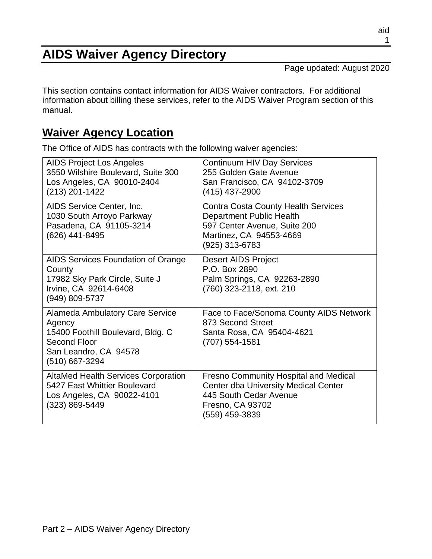#### aid 1

# **AIDS Waiver Agency Directory**

Page updated: August 2020

This section contains contact information for AIDS Waiver contractors. For additional information about billing these services, refer to the AIDS Waiver Program section of this manual.

### **Waiver Agency Location**

The Office of AIDS has contracts with the following waiver agencies:

| <b>AIDS Project Los Angeles</b><br>3550 Wilshire Boulevard, Suite 300<br>Los Angeles, CA 90010-2404<br>$(213)$ 201-1422                          | <b>Continuum HIV Day Services</b><br>255 Golden Gate Avenue<br>San Francisco, CA 94102-3709<br>(415) 437-2900                                               |
|--------------------------------------------------------------------------------------------------------------------------------------------------|-------------------------------------------------------------------------------------------------------------------------------------------------------------|
| AIDS Service Center, Inc.<br>1030 South Arroyo Parkway<br>Pasadena, CA 91105-3214<br>(626) 441-8495                                              | <b>Contra Costa County Health Services</b><br><b>Department Public Health</b><br>597 Center Avenue, Suite 200<br>Martinez, CA 94553-4669<br>(925) 313-6783  |
| AIDS Services Foundation of Orange<br>County<br>17982 Sky Park Circle, Suite J<br>Irvine, CA 92614-6408<br>(949) 809-5737                        | <b>Desert AIDS Project</b><br>P.O. Box 2890<br>Palm Springs, CA 92263-2890<br>(760) 323-2118, ext. 210                                                      |
| <b>Alameda Ambulatory Care Service</b><br>Agency<br>15400 Foothill Boulevard, Bldg. C<br>Second Floor<br>San Leandro, CA 94578<br>(510) 667-3294 | Face to Face/Sonoma County AIDS Network<br>873 Second Street<br>Santa Rosa, CA 95404-4621<br>(707) 554-1581                                                 |
| <b>AltaMed Health Services Corporation</b><br>5427 East Whittier Boulevard<br>Los Angeles, CA 90022-4101<br>(323) 869-5449                       | <b>Fresno Community Hospital and Medical</b><br><b>Center dba University Medical Center</b><br>445 South Cedar Avenue<br>Fresno, CA 93702<br>(559) 459-3839 |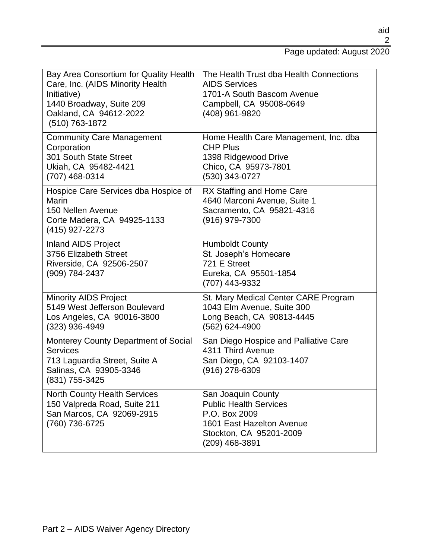#### Page updated: August 2020

| Bay Area Consortium for Quality Health<br>Care, Inc. (AIDS Minority Health<br>Initiative)<br>1440 Broadway, Suite 209<br>Oakland, CA 94612-2022<br>(510) 763-1872 | The Health Trust dba Health Connections<br><b>AIDS Services</b><br>1701-A South Bascom Avenue<br>Campbell, CA 95008-0649<br>(408) 961-9820     |
|-------------------------------------------------------------------------------------------------------------------------------------------------------------------|------------------------------------------------------------------------------------------------------------------------------------------------|
| <b>Community Care Management</b><br>Corporation<br>301 South State Street<br>Ukiah, CA 95482-4421<br>(707) 468-0314                                               | Home Health Care Management, Inc. dba<br><b>CHP Plus</b><br>1398 Ridgewood Drive<br>Chico, CA 95973-7801<br>(530) 343-0727                     |
| Hospice Care Services dba Hospice of<br>Marin<br>150 Nellen Avenue<br>Corte Madera, CA 94925-1133<br>(415) 927-2273                                               | RX Staffing and Home Care<br>4640 Marconi Avenue, Suite 1<br>Sacramento, CA 95821-4316<br>$(916)$ 979-7300                                     |
| <b>Inland AIDS Project</b><br>3756 Elizabeth Street<br>Riverside, CA 92506-2507<br>(909) 784-2437                                                                 | <b>Humboldt County</b><br>St. Joseph's Homecare<br>721 E Street<br>Eureka, CA 95501-1854<br>(707) 443-9332                                     |
| <b>Minority AIDS Project</b><br>5149 West Jefferson Boulevard<br>Los Angeles, CA 90016-3800<br>(323) 936-4949                                                     | St. Mary Medical Center CARE Program<br>1043 Elm Avenue, Suite 300<br>Long Beach, CA 90813-4445<br>(562) 624-4900                              |
| Monterey County Department of Social<br><b>Services</b><br>713 Laguardia Street, Suite A<br>Salinas, CA 93905-3346<br>(831) 755-3425                              | San Diego Hospice and Palliative Care<br>4311 Third Avenue<br>San Diego, CA 92103-1407<br>$(916)$ 278-6309                                     |
| <b>North County Health Services</b><br>150 Valpreda Road, Suite 211<br>San Marcos, CA 92069-2915<br>(760) 736-6725                                                | San Joaquin County<br><b>Public Health Services</b><br>P.O. Box 2009<br>1601 East Hazelton Avenue<br>Stockton, CA 95201-2009<br>(209) 468-3891 |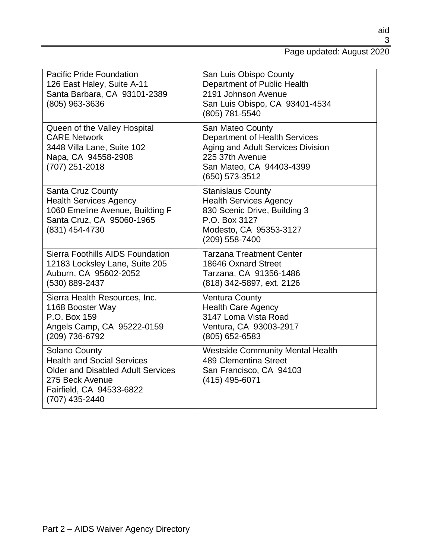#### Page updated: August 2020

| <b>Pacific Pride Foundation</b><br>126 East Haley, Suite A-11<br>Santa Barbara, CA 93101-2389<br>(805) 963-3636                                                        | San Luis Obispo County<br>Department of Public Health<br>2191 Johnson Avenue<br>San Luis Obispo, CA 93401-4534<br>(805) 781-5540                        |
|------------------------------------------------------------------------------------------------------------------------------------------------------------------------|---------------------------------------------------------------------------------------------------------------------------------------------------------|
| Queen of the Valley Hospital<br><b>CARE Network</b><br>3448 Villa Lane, Suite 102<br>Napa, CA 94558-2908<br>(707) 251-2018                                             | San Mateo County<br>Department of Health Services<br>Aging and Adult Services Division<br>225 37th Avenue<br>San Mateo, CA 94403-4399<br>(650) 573-3512 |
| <b>Santa Cruz County</b><br><b>Health Services Agency</b><br>1060 Emeline Avenue, Building F<br>Santa Cruz, CA 95060-1965<br>(831) 454-4730                            | <b>Stanislaus County</b><br><b>Health Services Agency</b><br>830 Scenic Drive, Building 3<br>P.O. Box 3127<br>Modesto, CA 95353-3127<br>(209) 558-7400  |
| Sierra Foothills AIDS Foundation<br>12183 Locksley Lane, Suite 205<br>Auburn, CA 95602-2052<br>(530) 889-2437                                                          | <b>Tarzana Treatment Center</b><br>18646 Oxnard Street<br>Tarzana, CA 91356-1486<br>(818) 342-5897, ext. 2126                                           |
| Sierra Health Resources, Inc.<br>1168 Booster Way<br>P.O. Box 159<br>Angels Camp, CA 95222-0159<br>(209) 736-6792                                                      | <b>Ventura County</b><br><b>Health Care Agency</b><br>3147 Loma Vista Road<br>Ventura, CA 93003-2917<br>(805) 652-6583                                  |
| <b>Solano County</b><br><b>Health and Social Services</b><br><b>Older and Disabled Adult Services</b><br>275 Beck Avenue<br>Fairfield, CA 94533-6822<br>(707) 435-2440 | <b>Westside Community Mental Health</b><br>489 Clementina Street<br>San Francisco, CA 94103<br>(415) 495-6071                                           |